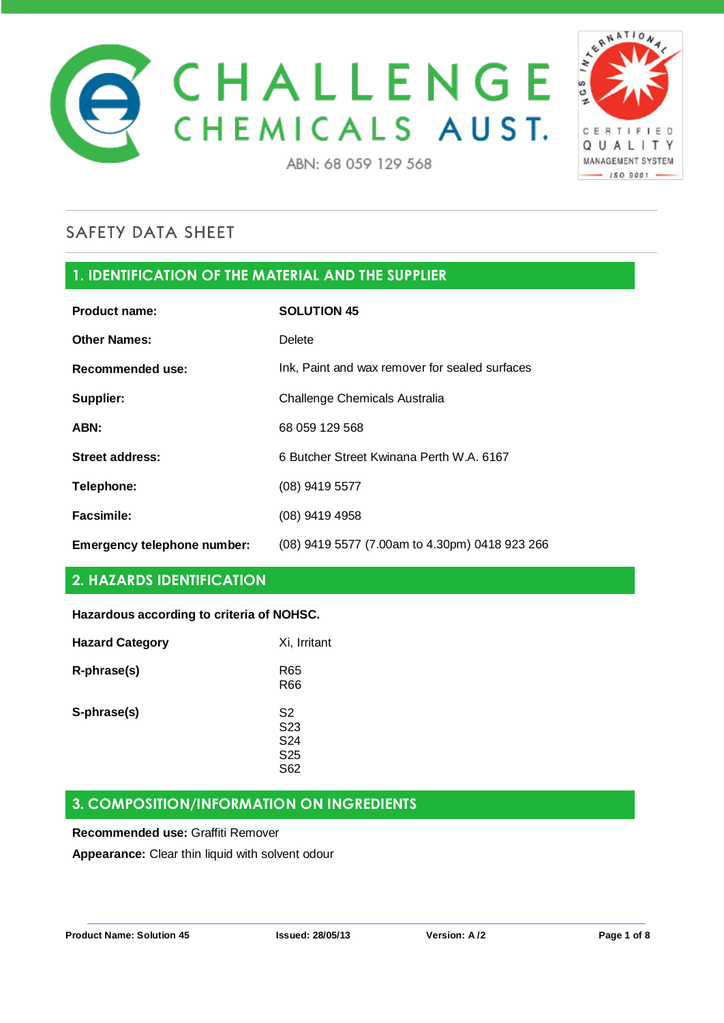



# **1. IDENTIFICATION OF THE MATERIAL AND THE SUPPLIER**

| <b>Product name:</b>        | <b>SOLUTION 45</b>                             |
|-----------------------------|------------------------------------------------|
| <b>Other Names:</b>         | Delete                                         |
| Recommended use:            | Ink, Paint and wax remover for sealed surfaces |
| Supplier:                   | Challenge Chemicals Australia                  |
| ABN:                        | 68 059 129 568                                 |
| <b>Street address:</b>      | 6 Butcher Street Kwinana Perth W.A. 6167       |
| Telephone:                  | (08) 9419 5577                                 |
| <b>Facsimile:</b>           | (08) 9419 4958                                 |
| Emergency telephone number: | (08) 9419 5577 (7.00am to 4.30pm) 0418 923 266 |

# **2. HAZARDS IDENTIFICATION**

### **Hazardous according to criteria of NOHSC.**

| <b>Hazard Category</b> | Xi, Irritant                                                                   |
|------------------------|--------------------------------------------------------------------------------|
| R-phrase(s)            | R65<br><b>R66</b>                                                              |
| S-phrase(s)            | S <sub>2</sub><br>S <sub>23</sub><br>S <sub>24</sub><br>S <sub>25</sub><br>S62 |

### **3. COMPOSITION/INFORMATION ON INGREDIENTS**

#### **Recommended use:** Graffiti Remover

**Appearance:** Clear thin liquid with solvent odour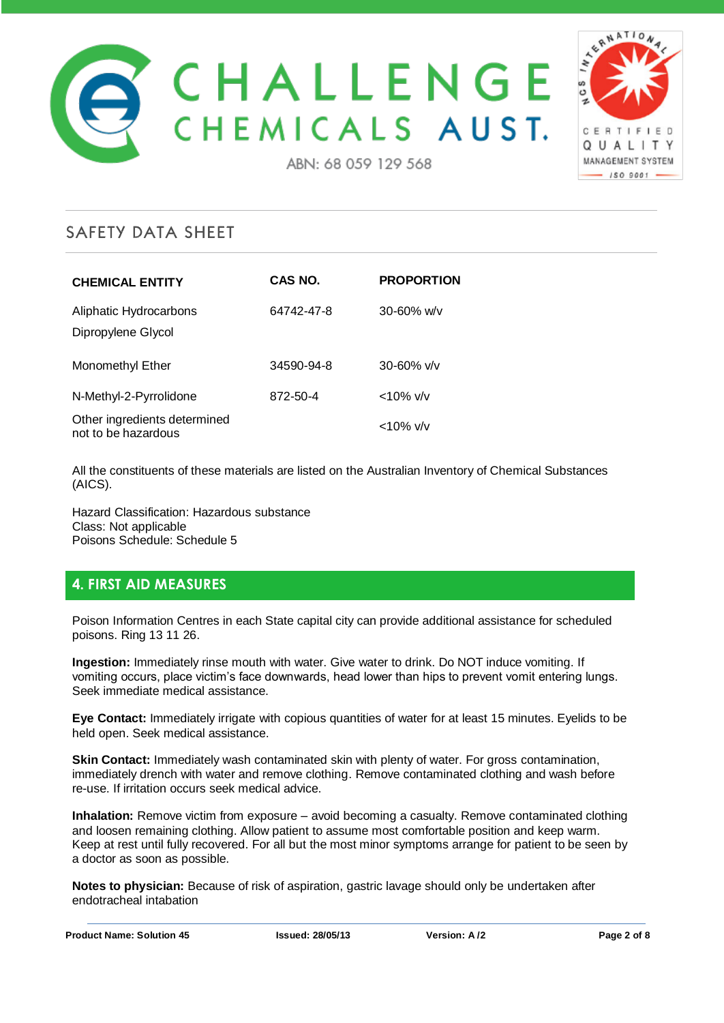



| <b>CHEMICAL ENTITY</b>                              | CAS NO.    | <b>PROPORTION</b> |
|-----------------------------------------------------|------------|-------------------|
| Aliphatic Hydrocarbons<br>Dipropylene Glycol        | 64742-47-8 | $30 - 60\%$ w/v   |
| Monomethyl Ether                                    | 34590-94-8 | $30 - 60\%$ v/v   |
| N-Methyl-2-Pyrrolidone                              | 872-50-4   | $<$ 10% v/v       |
| Other ingredients determined<br>not to be hazardous |            | $<$ 10% v/v       |

All the constituents of these materials are listed on the Australian Inventory of Chemical Substances (AICS).

Hazard Classification: Hazardous substance Class: Not applicable Poisons Schedule: Schedule 5

### **4. FIRST AID MEASURES**

Poison Information Centres in each State capital city can provide additional assistance for scheduled poisons. Ring 13 11 26.

**Ingestion:** Immediately rinse mouth with water. Give water to drink. Do NOT induce vomiting. If vomiting occurs, place victim's face downwards, head lower than hips to prevent vomit entering lungs. Seek immediate medical assistance.

**Eye Contact:** Immediately irrigate with copious quantities of water for at least 15 minutes. Eyelids to be held open. Seek medical assistance.

**Skin Contact:** Immediately wash contaminated skin with plenty of water. For gross contamination, immediately drench with water and remove clothing. Remove contaminated clothing and wash before re-use. If irritation occurs seek medical advice.

**Inhalation:** Remove victim from exposure – avoid becoming a casualty. Remove contaminated clothing and loosen remaining clothing. Allow patient to assume most comfortable position and keep warm. Keep at rest until fully recovered. For all but the most minor symptoms arrange for patient to be seen by a doctor as soon as possible.

**Notes to physician:** Because of risk of aspiration, gastric lavage should only be undertaken after endotracheal intabation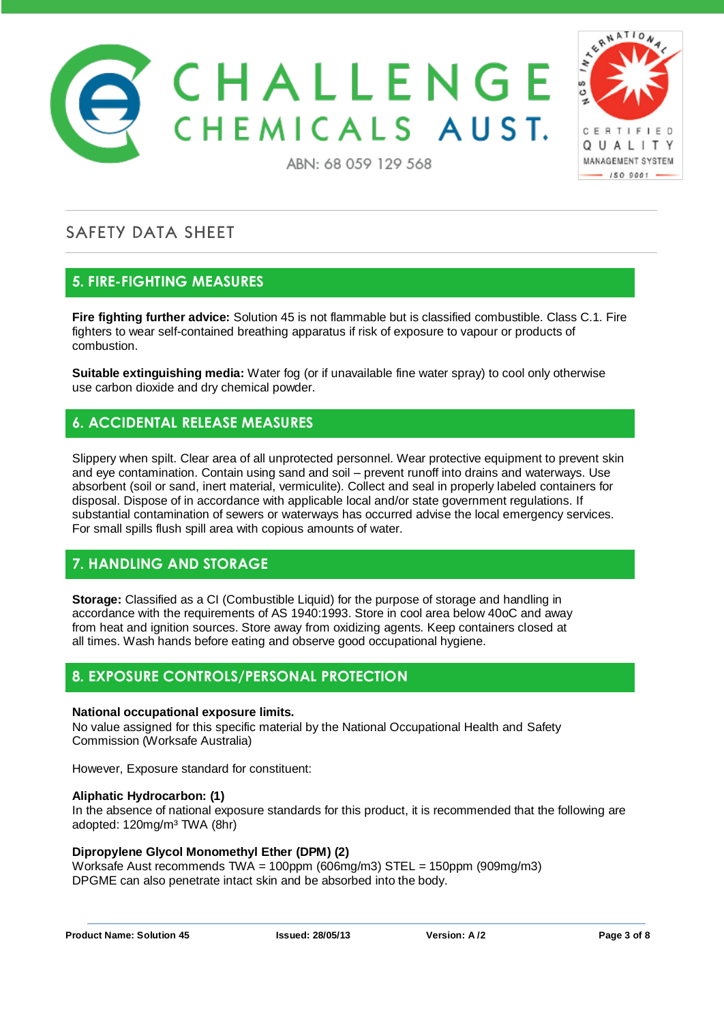



## **5. FIRE-FIGHTING MEASURES**

**Fire fighting further advice:** Solution 45 is not flammable but is classified combustible. Class C.1. Fire fighters to wear self-contained breathing apparatus if risk of exposure to vapour or products of combustion.

**Suitable extinguishing media:** Water fog (or if unavailable fine water spray) to cool only otherwise use carbon dioxide and dry chemical powder.

# **6. ACCIDENTAL RELEASE MEASURES**

Slippery when spilt. Clear area of all unprotected personnel. Wear protective equipment to prevent skin and eye contamination. Contain using sand and soil – prevent runoff into drains and waterways. Use absorbent (soil or sand, inert material, vermiculite). Collect and seal in properly labeled containers for disposal. Dispose of in accordance with applicable local and/or state government regulations. If substantial contamination of sewers or waterways has occurred advise the local emergency services. For small spills flush spill area with copious amounts of water.

# **7. HANDLING AND STORAGE**

**Storage:** Classified as a CI (Combustible Liquid) for the purpose of storage and handling in accordance with the requirements of AS 1940:1993. Store in cool area below 40oC and away from heat and ignition sources. Store away from oxidizing agents. Keep containers closed at all times. Wash hands before eating and observe good occupational hygiene.

### **8. EXPOSURE CONTROLS/PERSONAL PROTECTION**

#### **National occupational exposure limits.**

No value assigned for this specific material by the National Occupational Health and Safety Commission (Worksafe Australia)

However, Exposure standard for constituent:

#### **Aliphatic Hydrocarbon: (1)**

In the absence of national exposure standards for this product, it is recommended that the following are adopted: 120mg/m³ TWA (8hr)

#### **Dipropylene Glycol Monomethyl Ether (DPM) (2)**

Worksafe Aust recommends TWA = 100ppm (606mg/m3) STEL = 150ppm (909mg/m3) DPGME can also penetrate intact skin and be absorbed into the body.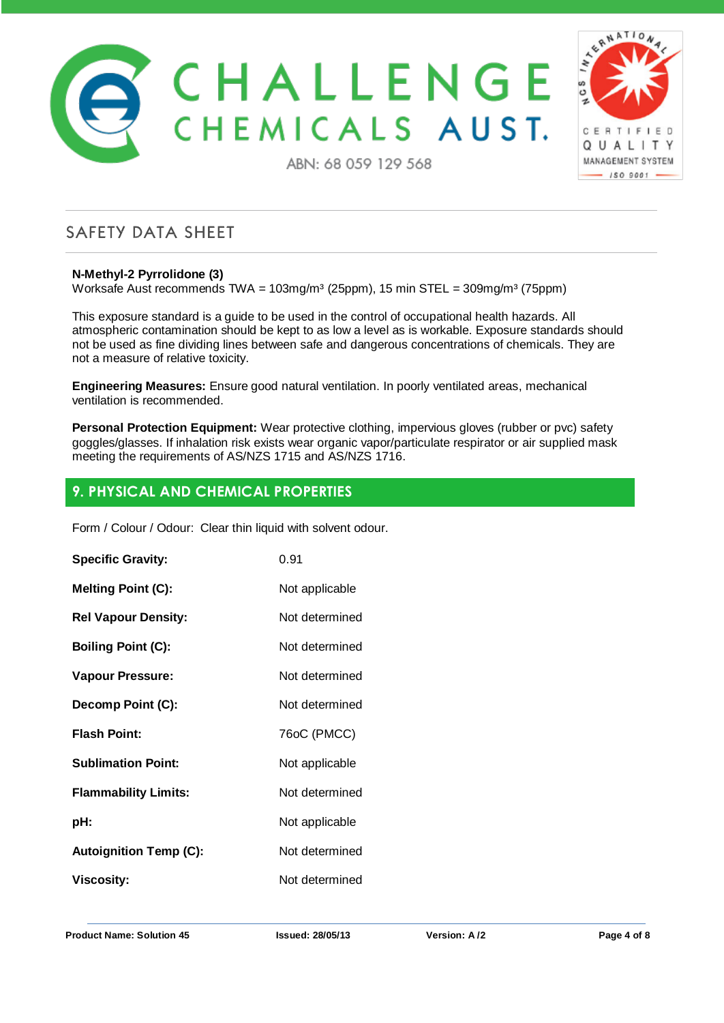



### **N-Methyl-2 Pyrrolidone (3)**

**SAFETY DATA SHEET** 

Worksafe Aust recommends TWA =  $103$ mg/m<sup>3</sup> (25ppm), 15 min STEL =  $309$ mg/m<sup>3</sup> (75ppm)

This exposure standard is a guide to be used in the control of occupational health hazards. All atmospheric contamination should be kept to as low a level as is workable. Exposure standards should not be used as fine dividing lines between safe and dangerous concentrations of chemicals. They are not a measure of relative toxicity.

**Engineering Measures:** Ensure good natural ventilation. In poorly ventilated areas, mechanical ventilation is recommended.

**Personal Protection Equipment:** Wear protective clothing, impervious gloves (rubber or pvc) safety goggles/glasses. If inhalation risk exists wear organic vapor/particulate respirator or air supplied mask meeting the requirements of AS/NZS 1715 and AS/NZS 1716.

## **9. PHYSICAL AND CHEMICAL PROPERTIES**

Form / Colour / Odour: Clear thin liquid with solvent odour.

| <b>Specific Gravity:</b>      | 0.91           |
|-------------------------------|----------------|
| <b>Melting Point (C):</b>     | Not applicable |
| <b>Rel Vapour Density:</b>    | Not determined |
| <b>Boiling Point (C):</b>     | Not determined |
| Vapour Pressure:              | Not determined |
| Decomp Point (C):             | Not determined |
| <b>Flash Point:</b>           | 76oC (PMCC)    |
| <b>Sublimation Point:</b>     | Not applicable |
| <b>Flammability Limits:</b>   | Not determined |
| pH:                           | Not applicable |
| <b>Autoignition Temp (C):</b> | Not determined |
| <b>Viscosity:</b>             | Not determined |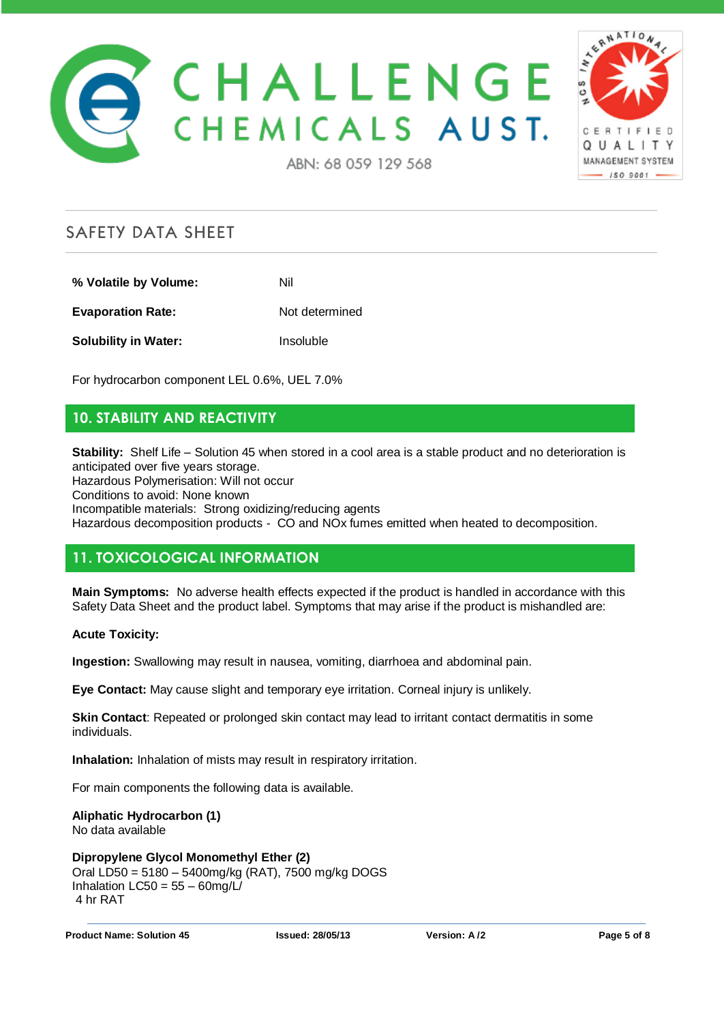



#### ABN: 68 059 129 568

# **SAFETY DATA SHEET**

**% Volatile by Volume:** Nil

**Evaporation Rate:** Not determined

**Solubility in Water:** Insoluble

For hydrocarbon component LEL 0.6%, UEL 7.0%

# **10. STABILITY AND REACTIVITY**

**Stability:** Shelf Life – Solution 45 when stored in a cool area is a stable product and no deterioration is anticipated over five years storage.

Hazardous Polymerisation: Will not occur

Conditions to avoid: None known

Incompatible materials: Strong oxidizing/reducing agents Hazardous decomposition products - CO and NOx fumes emitted when heated to decomposition.

# **11. TOXICOLOGICAL INFORMATION**

**Main Symptoms:** No adverse health effects expected if the product is handled in accordance with this Safety Data Sheet and the product label. Symptoms that may arise if the product is mishandled are:

**Acute Toxicity:**

**Ingestion:** Swallowing may result in nausea, vomiting, diarrhoea and abdominal pain.

**Eye Contact:** May cause slight and temporary eye irritation. Corneal injury is unlikely.

**Skin Contact**: Repeated or prolonged skin contact may lead to irritant contact dermatitis in some individuals.

**Inhalation:** Inhalation of mists may result in respiratory irritation.

For main components the following data is available.

# **Aliphatic Hydrocarbon (1)**

No data available

### **Dipropylene Glycol Monomethyl Ether (2)**

Oral LD50 = 5180 – 5400mg/kg (RAT), 7500 mg/kg DOGS Inhalation  $LC50 = 55 - 60$ mg/L/ 4 hr RAT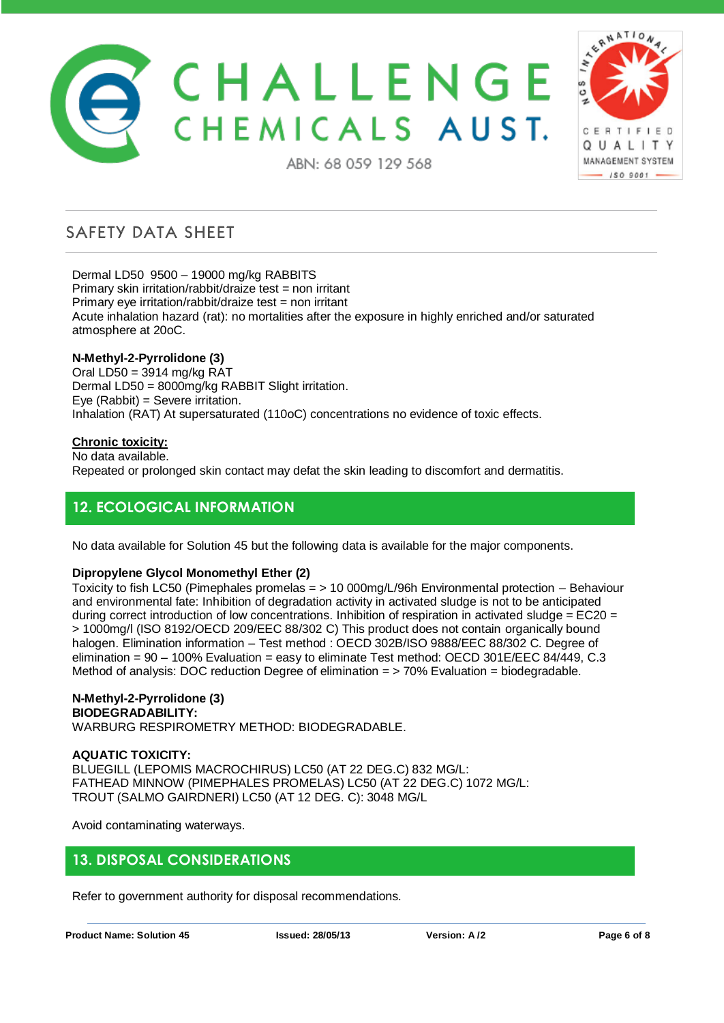



ABN: 68 059 129 568

# **SAFETY DATA SHEET**

Dermal LD50 9500 – 19000 mg/kg RABBITS Primary skin irritation/rabbit/draize test = non irritant Primary eye irritation/rabbit/draize test = non irritant Acute inhalation hazard (rat): no mortalities after the exposure in highly enriched and/or saturated atmosphere at 20oC.

#### **N-Methyl-2-Pyrrolidone (3)**

Oral LD50 = 3914 mg/kg RAT Dermal LD50 = 8000mg/kg RABBIT Slight irritation. Eye (Rabbit) = Severe irritation. Inhalation (RAT) At supersaturated (110oC) concentrations no evidence of toxic effects.

#### **Chronic toxicity:**

No data available. Repeated or prolonged skin contact may defat the skin leading to discomfort and dermatitis.

## **12. ECOLOGICAL INFORMATION**

No data available for Solution 45 but the following data is available for the major components.

### **Dipropylene Glycol Monomethyl Ether (2)**

Toxicity to fish LC50 (Pimephales promelas = > 10 000mg/L/96h Environmental protection – Behaviour and environmental fate: Inhibition of degradation activity in activated sludge is not to be anticipated during correct introduction of low concentrations. Inhibition of respiration in activated sludge =  $EC20 =$ > 1000mg/l (ISO 8192/OECD 209/EEC 88/302 C) This product does not contain organically bound halogen. Elimination information – Test method : OECD 302B/ISO 9888/EEC 88/302 C. Degree of elimination = 90 – 100% Evaluation = easy to eliminate Test method: OECD 301E/EEC 84/449, C.3 Method of analysis: DOC reduction Degree of elimination = > 70% Evaluation = biodegradable.

#### **N-Methyl-2-Pyrrolidone (3) BIODEGRADABILITY:**

WARBURG RESPIROMETRY METHOD: BIODEGRADABLE.

### **AQUATIC TOXICITY:**

BLUEGILL (LEPOMIS MACROCHIRUS) LC50 (AT 22 DEG.C) 832 MG/L: FATHEAD MINNOW (PIMEPHALES PROMELAS) LC50 (AT 22 DEG.C) 1072 MG/L: TROUT (SALMO GAIRDNERI) LC50 (AT 12 DEG. C): 3048 MG/L

Avoid contaminating waterways.

### **13. DISPOSAL CONSIDERATIONS**

Refer to government authority for disposal recommendations.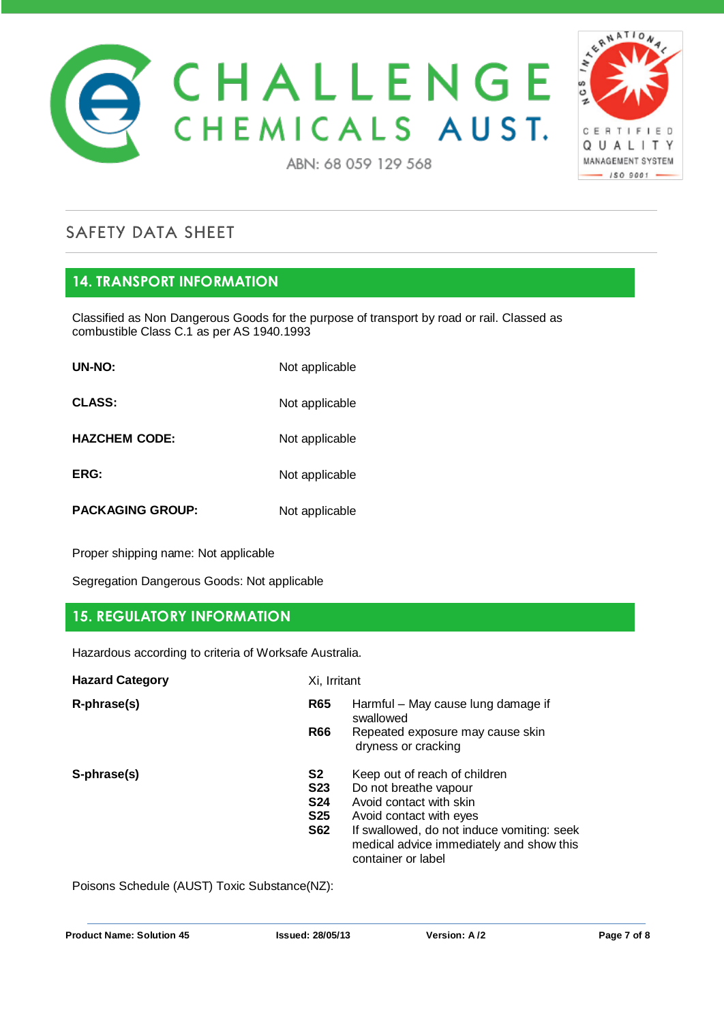



# **14. TRANSPORT INFORMATION**

Classified as Non Dangerous Goods for the purpose of transport by road or rail. Classed as combustible Class C.1 as per AS 1940.1993

| <b>UN-NO:</b>           | Not applicable |
|-------------------------|----------------|
| <b>CLASS:</b>           | Not applicable |
| <b>HAZCHEM CODE:</b>    | Not applicable |
| ERG:                    | Not applicable |
| <b>PACKAGING GROUP:</b> | Not applicable |

Proper shipping name: Not applicable

Segregation Dangerous Goods: Not applicable

### **15. REGULATORY INFORMATION**

Hazardous according to criteria of Worksafe Australia.

| <b>Hazard Category</b> | Xi, Irritant                                               |                                                                                                                                                                                                                              |
|------------------------|------------------------------------------------------------|------------------------------------------------------------------------------------------------------------------------------------------------------------------------------------------------------------------------------|
| R-phrase(s)            | <b>R65</b>                                                 | Harmful - May cause lung damage if<br>swallowed                                                                                                                                                                              |
|                        | <b>R66</b>                                                 | Repeated exposure may cause skin<br>dryness or cracking                                                                                                                                                                      |
| S-phrase(s)            | S2<br><b>S23</b><br><b>S24</b><br><b>S25</b><br><b>S62</b> | Keep out of reach of children<br>Do not breathe vapour<br>Avoid contact with skin<br>Avoid contact with eyes<br>If swallowed, do not induce vomiting: seek<br>medical advice immediately and show this<br>container or label |

Poisons Schedule (AUST) Toxic Substance(NZ):